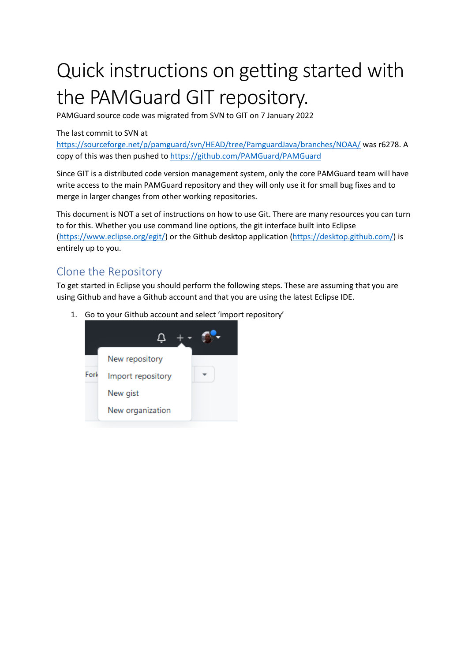# Quick instructions on getting started with the PAMGuard GIT repository.

PAMGuard source code was migrated from SVN to GIT on 7 January 2022

#### The last commit to SVN at

<https://sourceforge.net/p/pamguard/svn/HEAD/tree/PamguardJava/branches/NOAA/> was r6278. A copy of this was then pushed t[o https://github.com/PAMGuard/PAMGuard](https://github.com/PAMGuard/PAMGuard)

Since GIT is a distributed code version management system, only the core PAMGuard team will have write access to the main PAMGuard repository and they will only use it for small bug fixes and to merge in larger changes from other working repositories.

This document is NOT a set of instructions on how to use Git. There are many resources you can turn to for this. Whether you use command line options, the git interface built into Eclipse [\(https://www.eclipse.org/egit/\)](https://www.eclipse.org/egit/) or the Github desktop application [\(https://desktop.github.com/\)](https://desktop.github.com/) is entirely up to you.

## Clone the Repository

To get started in Eclipse you should perform the following steps. These are assuming that you are using Github and have a Github account and that you are using the latest Eclipse IDE.

1. Go to your Github account and select 'import repository'

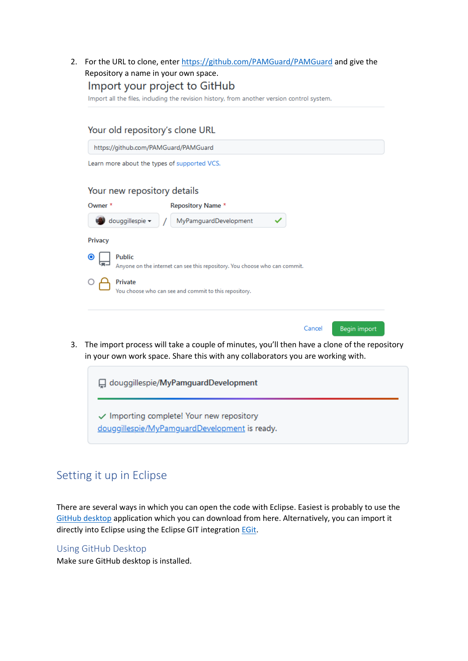2. For the URL to clone, enter<https://github.com/PAMGuard/PAMGuard> and give the Repository a name in your own space. Import your project to GitHub

Import all the files, including the revision history, from another version control system.

| Your old repository's clone URL              |                                                                            |                        |
|----------------------------------------------|----------------------------------------------------------------------------|------------------------|
| https://github.com/PAMGuard/PAMGuard         |                                                                            |                        |
| Learn more about the types of supported VCS. |                                                                            |                        |
| Your new repository details                  |                                                                            |                        |
| Owner <sup>*</sup>                           | <b>Repository Name *</b>                                                   |                        |
| douggillespie -                              | MyPamguardDevelopment                                                      |                        |
| <b>Privacy</b>                               |                                                                            |                        |
| <b>Public</b><br>$\bullet$                   | Anyone on the internet can see this repository. You choose who can commit. |                        |
| Private                                      | You choose who can see and commit to this repository.                      |                        |
|                                              |                                                                            | Cancel<br>Begin import |

3. The import process will take a couple of minutes, you'll then have a clone of the repository in your own work space. Share this with any collaborators you are working with.



## Setting it up in Eclipse

There are several ways in which you can open the code with Eclipse. Easiest is probably to use the [GitHub desktop](https://desktop.github.com/) application which you can download from here. Alternatively, you can import it directly into Eclipse using the Eclipse GIT integratio[n EGit.](https://www.eclipse.org/egit/)

#### Using GitHub Desktop

Make sure GitHub desktop is installed.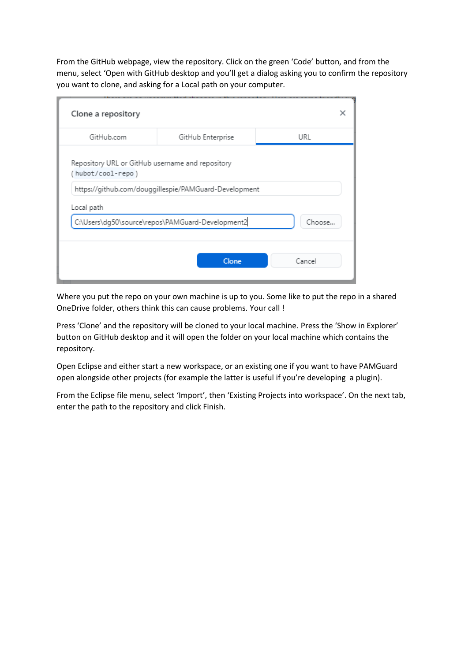From the GitHub webpage, view the repository. Click on the green 'Code' button, and from the menu, select 'Open with GitHub desktop and you'll get a dialog asking you to confirm the repository you want to clone, and asking for a Local path on your computer.

| GitHub.com                                                            | GitHub Enterprise                                     | URL    |
|-----------------------------------------------------------------------|-------------------------------------------------------|--------|
| Repository URL or GitHub username and repository<br>(hubot/cool-repo) |                                                       |        |
|                                                                       | https://github.com/douggillespie/PAMGuard-Development |        |
| Local path                                                            |                                                       |        |
|                                                                       | C:\Users\dg50\source\repos\PAMGuard-Development2      | Choose |
|                                                                       |                                                       |        |

Where you put the repo on your own machine is up to you. Some like to put the repo in a shared OneDrive folder, others think this can cause problems. Your call !

Press 'Clone' and the repository will be cloned to your local machine. Press the 'Show in Explorer' button on GitHub desktop and it will open the folder on your local machine which contains the repository.

Open Eclipse and either start a new workspace, or an existing one if you want to have PAMGuard open alongside other projects (for example the latter is useful if you're developing a plugin).

From the Eclipse file menu, select 'Import', then 'Existing Projects into workspace'. On the next tab, enter the path to the repository and click Finish.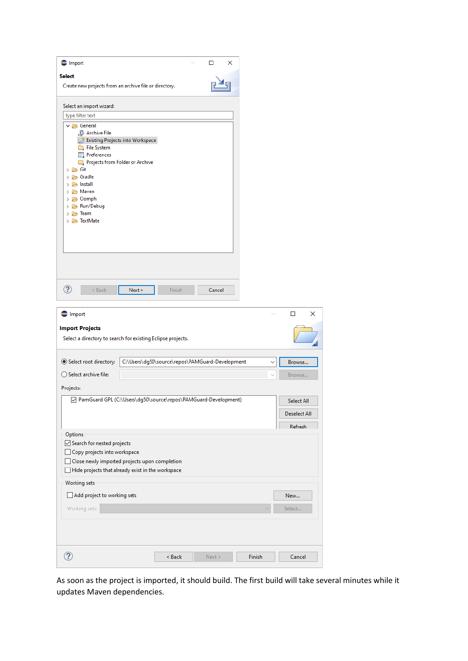| $\bigoplus$ Import                                                                                                                                                                                                                                                                                                                      |                                                                  |               | □      | ×      |              |                                                     |
|-----------------------------------------------------------------------------------------------------------------------------------------------------------------------------------------------------------------------------------------------------------------------------------------------------------------------------------------|------------------------------------------------------------------|---------------|--------|--------|--------------|-----------------------------------------------------|
| <b>Select</b><br>Create new projects from an archive file or directory.                                                                                                                                                                                                                                                                 |                                                                  |               |        |        |              |                                                     |
| Select an import wizard:<br>type filter text<br>$\vee \triangleright$ General<br>Archive File<br>Existing Projects into Workspace<br>File System<br><b>Preferences</b><br>Projects from Folder or Archive<br>> ② Git<br>> & Gradle<br>> > Install<br>> 2 Maven<br>> → Oomph<br>> 2 Run/Debug<br>> 2 Team<br>> TextMate<br>℗<br>$<$ Back | Next >                                                           | <b>Finish</b> | Cancel |        |              |                                                     |
| <b>Import</b><br><b>Import Projects</b><br>Select a directory to search for existing Eclipse projects.                                                                                                                                                                                                                                  |                                                                  |               |        |        |              | $\times$<br>$\Box$                                  |
| Select root directory:<br>○ Select archive file:<br>Projects:                                                                                                                                                                                                                                                                           | C:\Users\dg50\source\repos\PAMGuard-Development                  |               |        |        | $\checkmark$ | Browse<br>Browse                                    |
|                                                                                                                                                                                                                                                                                                                                         | 7 PamGuard GPL (C:\Users\dg50\source\repos\PAMGuard-Development) |               |        |        |              | <b>Select All</b><br><b>Deselect All</b><br>Refresh |
| Options<br>Search for nested projects<br>Copy projects into workspace<br>ப<br>Hide projects that already exist in the workspace                                                                                                                                                                                                         | Close newly imported projects upon completion                    |               |        |        |              |                                                     |
| Working sets<br>Add project to working sets<br>Working sets:                                                                                                                                                                                                                                                                            |                                                                  |               |        |        |              | New<br>Select                                       |
|                                                                                                                                                                                                                                                                                                                                         |                                                                  |               |        |        |              |                                                     |
| ?                                                                                                                                                                                                                                                                                                                                       |                                                                  | < Back        | Next > | Finish |              | Cancel                                              |

As soon as the project is imported, it should build. The first build will take several minutes while it updates Maven dependencies.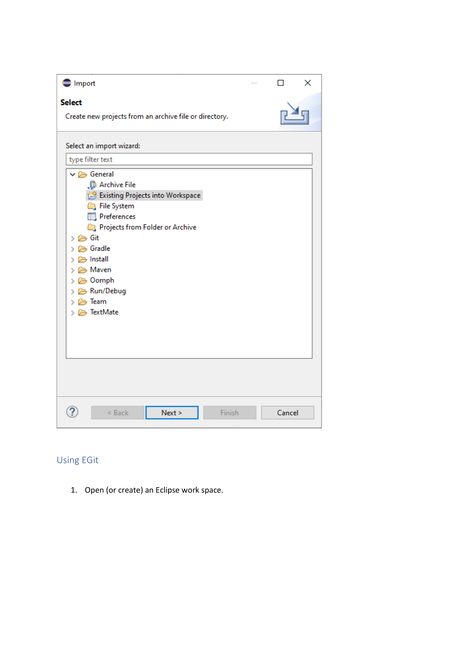| $\bigoplus$ Import                                                                                                                                                                                                                                                                    | П      | × |
|---------------------------------------------------------------------------------------------------------------------------------------------------------------------------------------------------------------------------------------------------------------------------------------|--------|---|
| <b>Select</b><br>Create new projects from an archive file or directory.                                                                                                                                                                                                               |        |   |
| Select an import wizard:                                                                                                                                                                                                                                                              |        |   |
| type filter text                                                                                                                                                                                                                                                                      |        |   |
| $\vee \triangleright$ General<br><b>B</b> Archive File<br>Existing Projects into Workspace<br>File System<br>Preferences<br>Projects from Folder or Archive<br>> P Git<br>$\geq$ $\ominus$ Gradle<br>> > Install<br>> > Maven<br>> 2 Oomph<br>> 2 Run/Debug<br>> 2 Team<br>> TextMate |        |   |
| < Back<br>Finish<br>Next                                                                                                                                                                                                                                                              | Cancel |   |

## Using EGit

1. Open (or create) an Eclipse work space.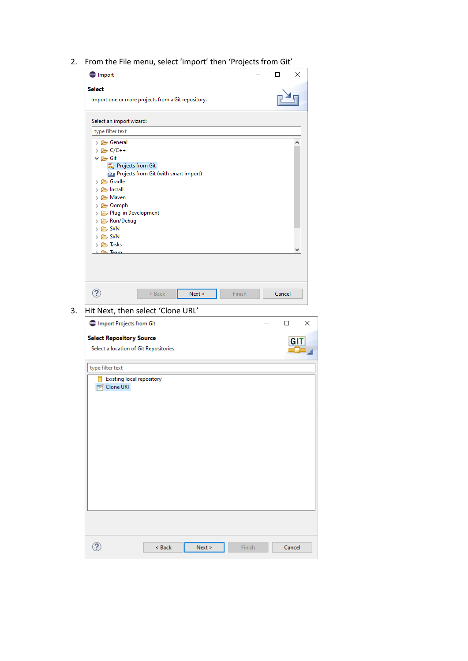2. From the File menu, select 'import' then 'Projects from Git'

|                                                            |        |   | ×      |
|------------------------------------------------------------|--------|---|--------|
| <b>Import</b>                                              |        | □ |        |
| <b>Select</b>                                              |        |   |        |
| Import one or more projects from a Git repository.         |        |   |        |
| Select an import wizard:                                   |        |   |        |
| type filter text                                           |        |   |        |
| > & General                                                |        |   | ۸      |
| > 2 C/C++                                                  |        |   |        |
| $\vee \triangleright$ Git                                  |        |   |        |
| Projects from Git<br>Projects from Git (with smart import) |        |   |        |
| > 2 Gradle                                                 |        |   |        |
| > 2 Install                                                |        |   |        |
| > 2 Maven                                                  |        |   |        |
| > 2 Oomph<br>> & Plug-in Development                       |        |   |        |
| > 2 Run/Debug                                              |        |   |        |
| $> 25$ SVN                                                 |        |   |        |
| $\geq$ SVN<br>> 2 Tasks                                    |        |   |        |
| <b>Co.</b> Team                                            |        |   |        |
|                                                            |        |   |        |
|                                                            |        |   |        |
|                                                            |        |   |        |
|                                                            |        |   |        |
| $^{\circledR}$<br>$<$ Back<br>Next >                       | Finish |   | Cancel |
| Hit Next, then select 'Clone URL'                          |        |   |        |
| Import Projects from Git                                   |        |   | $\Box$ |
| <b>Select Repository Source</b>                            |        |   |        |
| Select a location of Git Repositories                      |        |   | GIT    |
|                                                            |        |   |        |
| type filter text                                           |        |   |        |
| Existing local repository<br>Clone URI                     |        |   |        |
|                                                            |        |   |        |
|                                                            |        |   |        |
|                                                            |        |   |        |
|                                                            |        |   |        |
|                                                            |        |   |        |
|                                                            |        |   |        |
|                                                            |        |   |        |
|                                                            |        |   |        |
|                                                            |        |   |        |
|                                                            |        |   |        |
|                                                            |        |   |        |
|                                                            |        |   |        |
|                                                            |        |   |        |
|                                                            |        |   |        |
| $\circledR$<br>< Back<br>Next >                            | Finish |   | Cancel |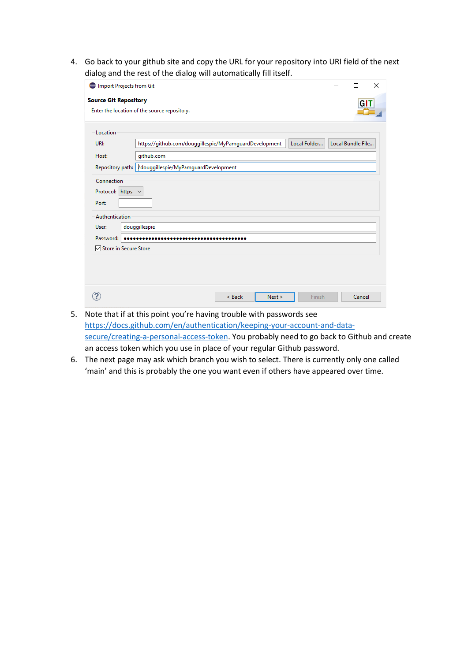4. Go back to your github site and copy the URL for your repository into URI field of the next dialog and the rest of the dialog will automatically fill itself.

| Import Projects from Git                          | X<br>П                                                                                      |
|---------------------------------------------------|---------------------------------------------------------------------------------------------|
| <b>Source Git Repository</b>                      | GIT                                                                                         |
|                                                   | Enter the location of the source repository.                                                |
| Location                                          |                                                                                             |
| URI:                                              | https://github.com/douggillespie/MyPamguardDevelopment<br>Local Folder<br>Local Bundle File |
| Host:                                             | github.com                                                                                  |
|                                                   | Repository path: Vdouggillespie/MyPamguardDevelopment                                       |
| Protocol: https $\sim$<br>Port:<br>Authentication |                                                                                             |
| User:                                             | douggillespie                                                                               |
| Password:                                         |                                                                                             |
| <b>Ø Store in Secure Store</b>                    |                                                                                             |
|                                                   |                                                                                             |
|                                                   |                                                                                             |
|                                                   |                                                                                             |
|                                                   | < Back<br>Next ><br>Cancel<br>Finish                                                        |
|                                                   |                                                                                             |

- 5. Note that if at this point you're having trouble with passwords see [https://docs.github.com/en/authentication/keeping-your-account-and-data](https://docs.github.com/en/authentication/keeping-your-account-and-data-secure/creating-a-personal-access-token)[secure/creating-a-personal-access-token.](https://docs.github.com/en/authentication/keeping-your-account-and-data-secure/creating-a-personal-access-token) You probably need to go back to Github and create an access token which you use in place of your regular Github password.
- 6. The next page may ask which branch you wish to select. There is currently only one called 'main' and this is probably the one you want even if others have appeared over time.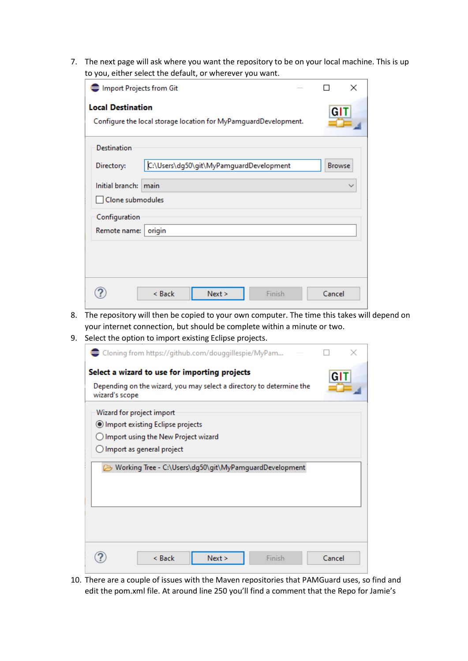7. The next page will ask where you want the repository to be on your local machine. This is up to you, either select the default, or wherever you want.

| Import Projects from Git                                                                    | ×             |
|---------------------------------------------------------------------------------------------|---------------|
| <b>Local Destination</b><br>Configure the local storage location for MyPamguardDevelopment. | GIT           |
| <b>Destination</b>                                                                          |               |
| C:\Users\dg50\git\MyPamguardDevelopment<br>Directory:                                       | <b>Browse</b> |
| Initial branch: main                                                                        | $\checkmark$  |
| Clone submodules                                                                            |               |
| Configuration                                                                               |               |
| Remote name:<br>origin                                                                      |               |
|                                                                                             |               |
| Finish<br>< Back<br>Next                                                                    | Cancel        |

- 8. The repository will then be copied to your own computer. The time this takes will depend on your internet connection, but should be complete within a minute or two.
- 9. Select the option to import existing Eclipse projects.

| Cloning from https://github.com/douggillespie/MyPam                                    |        |  |
|----------------------------------------------------------------------------------------|--------|--|
| Select a wizard to use for importing projects                                          | GIT    |  |
| Depending on the wizard, you may select a directory to determine the<br>wizard's scope |        |  |
| Wizard for project import                                                              |        |  |
| Import existing Eclipse projects                                                       |        |  |
| $\bigcirc$ Import using the New Project wizard                                         |        |  |
| $\bigcirc$ Import as general project                                                   |        |  |
| Working Tree - C:\Users\dg50\git\MyPamguardDevelopment                                 |        |  |
|                                                                                        |        |  |
| Finish<br>Next ><br>$<$ Back                                                           | Cancel |  |

10. There are a couple of issues with the Maven repositories that PAMGuard uses, so find and edit the pom.xml file. At around line 250 you'll find a comment that the Repo for Jamie's